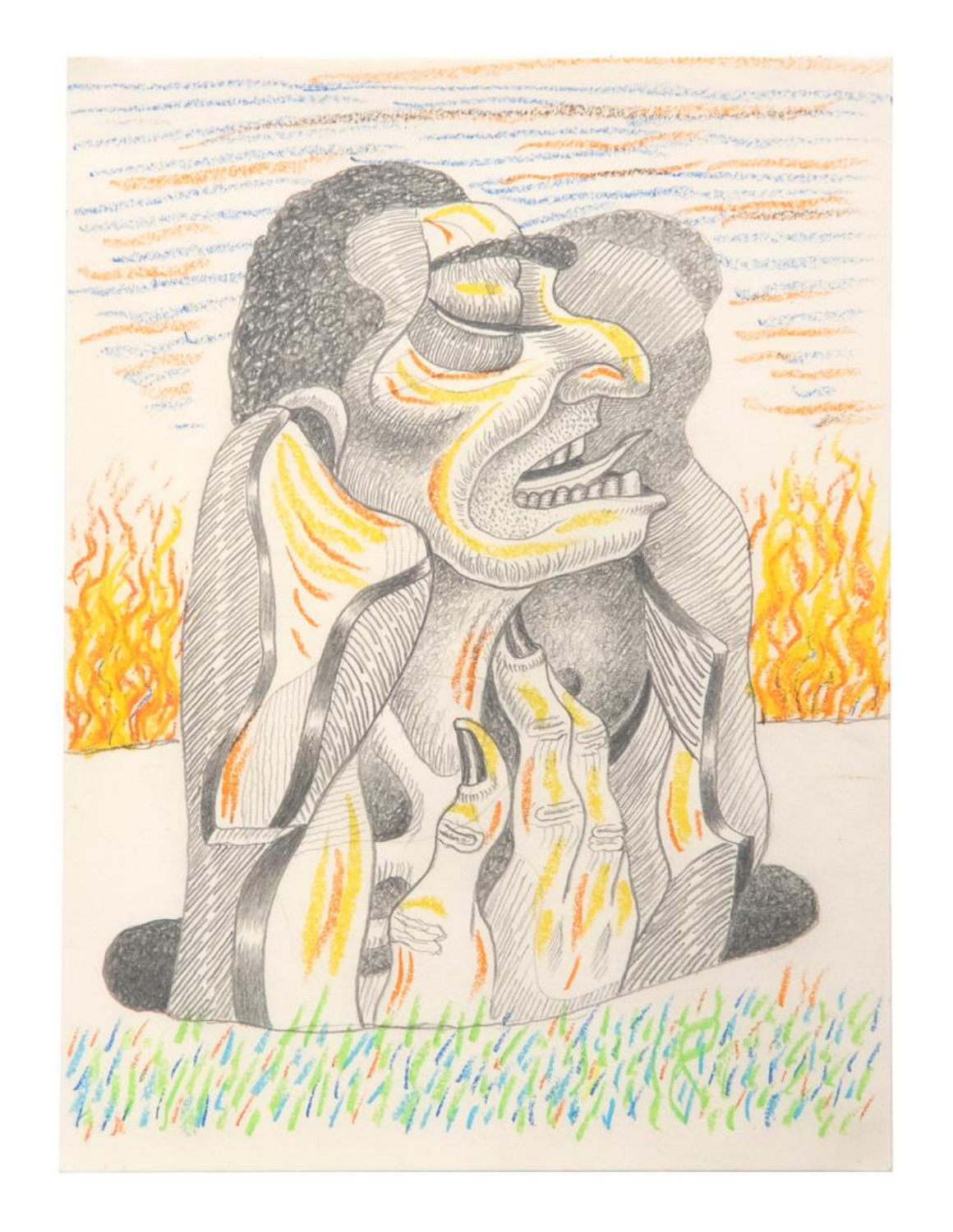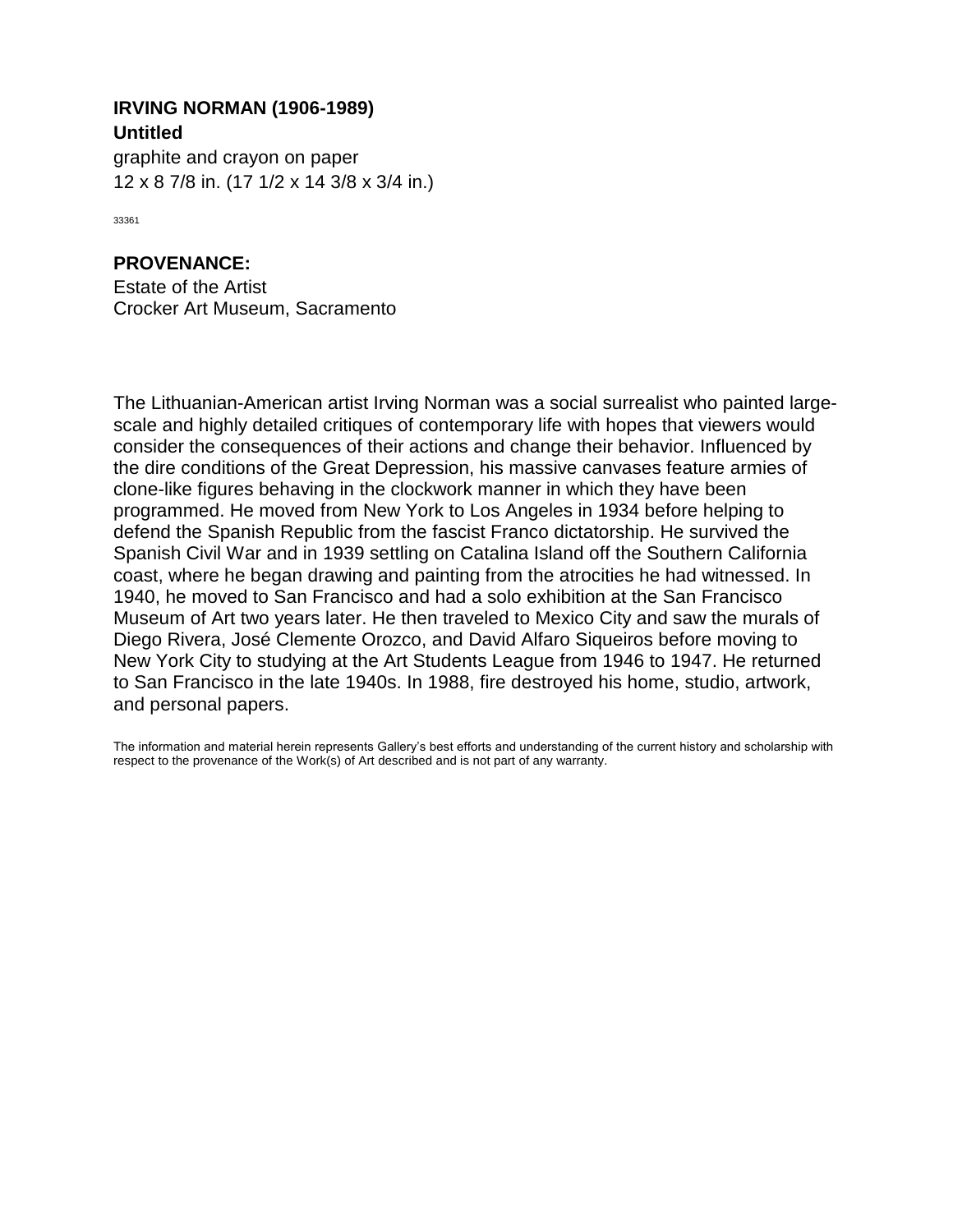## **Untitled IRVING NORMAN (1906-1989)**

12 x 8 7/8 in. (17 1/2 x 14 3/8 x 3/4 in.) graphite and crayon on paper

33361

## **PROVENANCE:**

Estate of the Artist Crocker Art Museum, Sacramento

The Lithuanian-American artist Irving Norman was a social surrealist who painted largescale and highly detailed critiques of contemporary life with hopes that viewers would consider the consequences of their actions and change their behavior. Influenced by the dire conditions of the Great Depression, his massive canvases feature armies of clone-like figures behaving in the clockwork manner in which they have been programmed. He moved from New York to Los Angeles in 1934 before helping to defend the Spanish Republic from the fascist Franco dictatorship. He survived the Spanish Civil War and in 1939 settling on Catalina Island off the Southern California coast, where he began drawing and painting from the atrocities he had witnessed. In 1940, he moved to San Francisco and had a solo exhibition at the San Francisco Museum of Art two years later. He then traveled to Mexico City and saw the murals of Diego Rivera, José Clemente Orozco, and David Alfaro Siqueiros before moving to New York City to studying at the Art Students League from 1946 to 1947. He returned to San Francisco in the late 1940s. In 1988, fire destroyed his home, studio, artwork, and personal papers.

The information and material herein represents Gallery's best efforts and understanding of the current history and scholarship with respect to the provenance of the Work(s) of Art described and is not part of any warranty.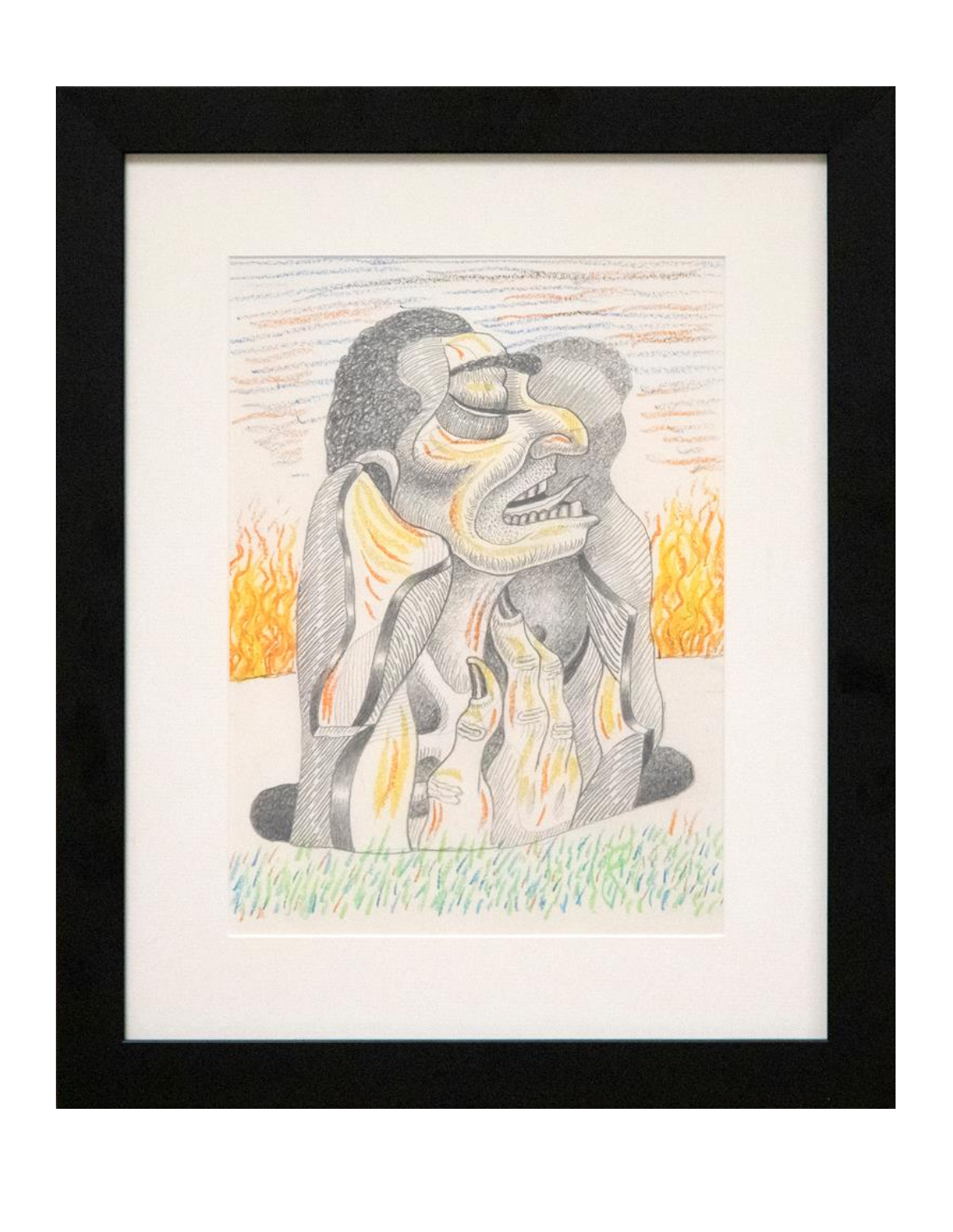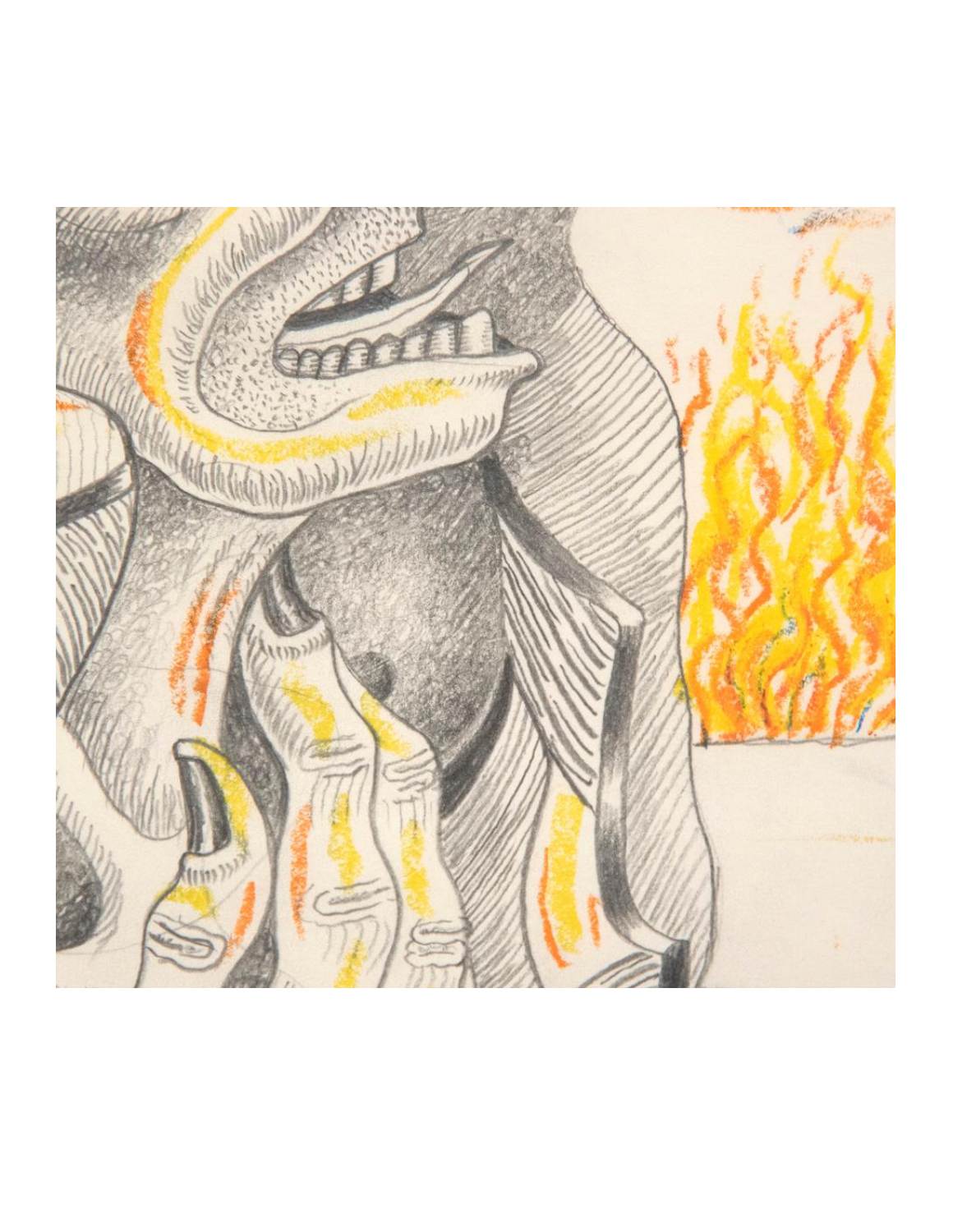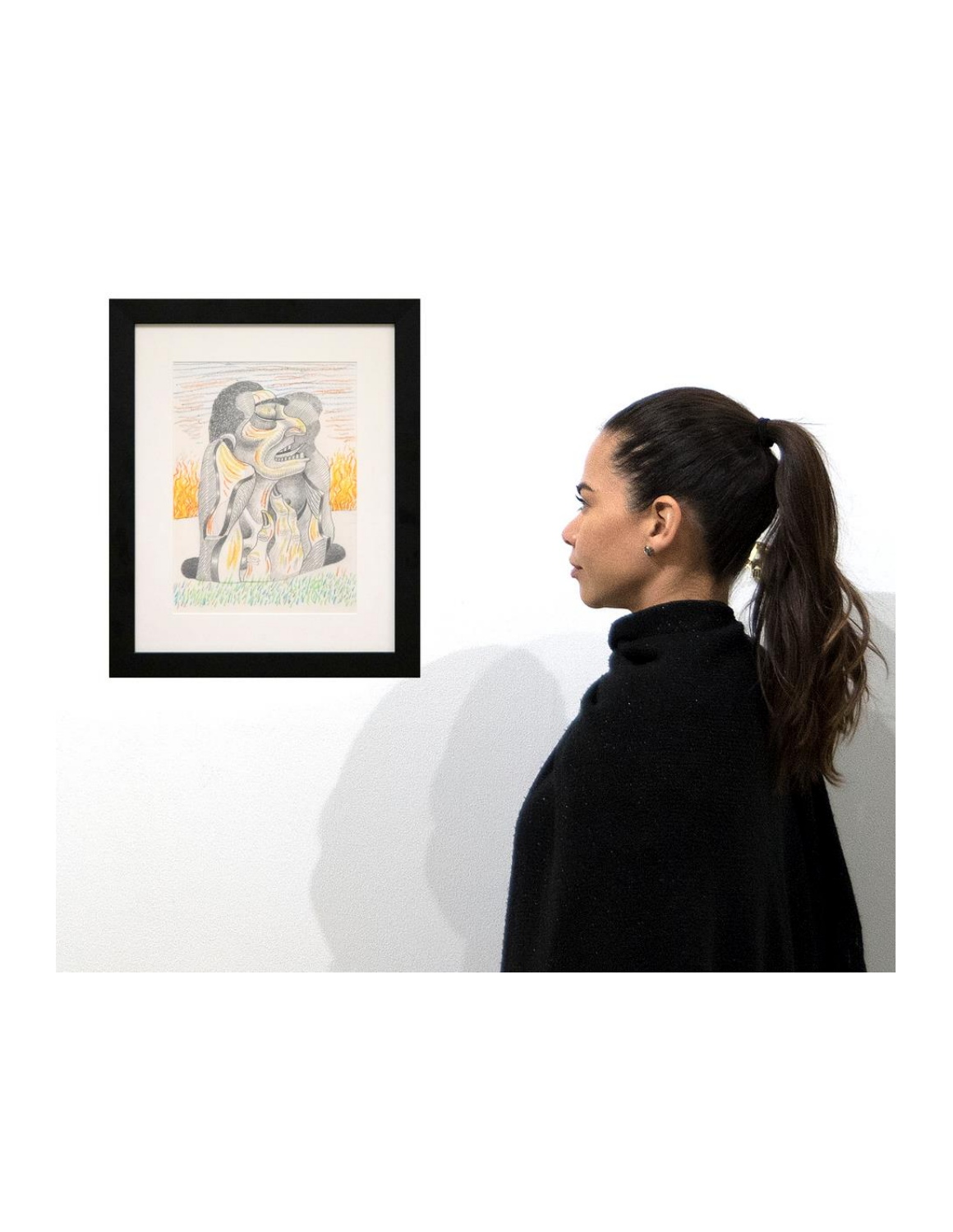